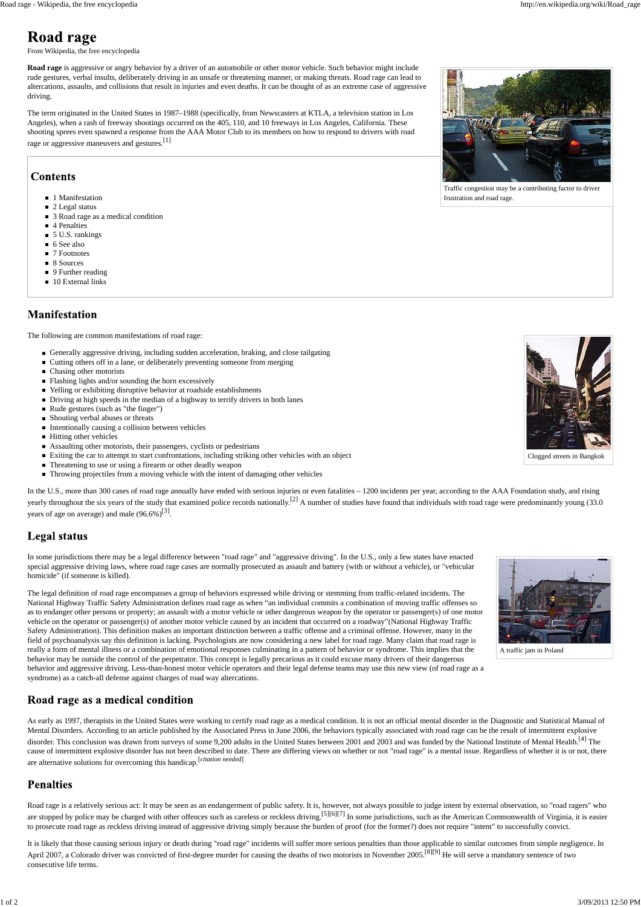

Traffic congestion may be a contributing factor to driver frustration and road rage.



Clogged streets in Bangkok



A traffic jam in Poland

### Road rage as a medical condition

From Wikipedia, the free encyclopedia

The term originated in the United States in 1987–1988 (specifically, from Newscasters at KTLA, a television station in Los Angeles), when a rash of freeway shootings occurred on the 405, 110, and 10 freeways in Los Angeles, California. These shooting sprees even spawned a response from the AAA Motor Club to its members on how to respond to drivers with road rage or aggressive maneuvers and gestures.<sup>[1]</sup>

# **Contents**

- 1 Manifestation
- $\blacksquare$  2 Legal status
- 3 Road rage as a medical condition
- 4 Penalties
- 5 U.S. rankings
- 6 See also
- 7 Footnotes
- 8 Sources
- 9 Further reading
- 10 External links

#### **Manifestation**

**Road rage** is aggressive or angry behavior by a driver of an automobile or other motor vehicle. Such behavior might include rude gestures, verbal insults, deliberately driving in an unsafe or threatening manner, or making threats. Road rage can lead to altercations, assaults, and collisions that result in injuries and even deaths. It can be thought of as an extreme case of aggressive driving.

The following are common manifestations of road rage:

- Generally aggressive driving, including sudden acceleration, braking, and close tailgating
- Cutting others off in a lane, or deliberately preventing someone from merging
- Chasing other motorists
- Flashing lights and/or sounding the horn excessively
- Yelling or exhibiting disruptive behavior at roadside establishments
- Driving at high speeds in the median of a highway to terrify drivers in both lanes
- $\blacksquare$  Rude gestures (such as "the finger")
- Shouting verbal abuses or threats
- $\blacksquare$  Intentionally causing a collision between vehicles
- Hitting other vehicles
- Assaulting other motorists, their passengers, cyclists or pedestrians
- Exiting the car to attempt to start confrontations, including striking other vehicles with an object
- Threatening to use or using a firearm or other deadly weapon
- Throwing projectiles from a moving vehicle with the intent of damaging other vehicles

In the U.S., more than 300 cases of road rage annually have ended with serious injuries or even fatalities – 1200 incidents per year, according to the AAA Foundation study, and rising yearly throughout the six years of the study that examined police records nationally.<sup>[2]</sup> A number of studies have found that individuals with road rage were predominantly young (33.0) years of age on average) and male  $(96.6\%)^{[3]}$ .

#### **Legal status**

As early as 1997, therapists in the United States were working to certify road rage as a medical condition. It is not an official mental disorder in the Diagnostic and Statistical Manual of Mental Disorders. According to an article published by the Associated Press in June 2006, the behaviors typically associated with road rage can be the result of intermittent explosive disorder. This conclusion was drawn from surveys of some 9,200 adults in the United States between 2001 and 2003 and was funded by the National Institute of Mental Health.<sup>[4]</sup> The cause of intermittent explosive disorder has not been described to date. There are differing views on whether or not "road rage" is a mental issue. Regardless of whether it is or not, there are alternative solutions for overcoming this handicap.[*citation needed*]

#### **Penalties**

In some jurisdictions there may be a legal difference between "road rage" and "aggressive driving". In the U.S., only a few states have enacted special aggressive driving laws, where road rage cases are normally prosecuted as assault and battery (with or without a vehicle), or "vehicular homicide" (if someone is killed).

Road rage is a relatively serious act: It may be seen as an endangerment of public safety. It is, however, not always possible to judge intent by external observation, so "road ragers" who are stopped by police may be charged with other offences such as careless or reckless driving.<sup>[5][6][7]</sup> In some jurisdictions, such as the American Commonwealth of Virginia, it is easier to prosecute road rage as reckless driving instead of aggressive driving simply because the burden of proof (for the former?) does not require "intent" to successfully convict.

The legal definition of road rage encompasses a group of behaviors expressed while driving or stemming from traffic-related incidents. The National Highway Traffic Safety Administration defines road rage as when "an individual commits a combination of moving traffic offenses so as to endanger other persons or property; an assault with a motor vehicle or other dangerous weapon by the operator or passenger(s) of one motor vehicle on the operator or passenger(s) of another motor vehicle caused by an incident that occurred on a roadway"(National Highway Traffic Safety Administration). This definition makes an important distinction between a traffic offense and a criminal offense. However, many in the field of psychoanalysis say this definition is lacking. Psychologists are now considering a new label for road rage. Many claim that road rage is really a form of mental illness or a combination of emotional responses culminating in a pattern of behavior or syndrome. This implies that the behavior may be outside the control of the perpetrator. This concept is legally precarious as it could excuse many drivers of their dangerous behavior and aggressive driving. Less-than-honest motor vehicle operators and their legal defense teams may use this new view (of road rage as a syndrome) as a catch-all defense against charges of road way altercations.

It is likely that those causing serious injury or death during "road rage" incidents will suffer more serious penalties than those applicable to similar outcomes from simple negligence. In April 2007, a Colorado driver was convicted of first-degree murder for causing the deaths of two motorists in November 2005.<sup>[8][9]</sup> He will serve a mandatory sentence of two consecutive life terms.

# **Road rage**